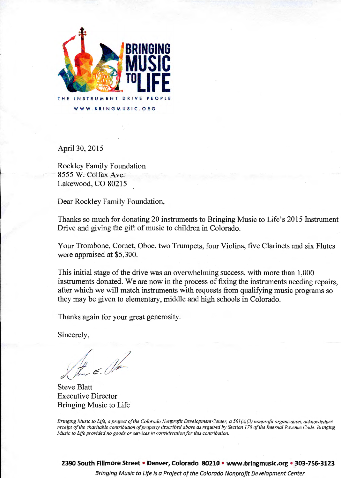

April30, 2015

Rockley Family Foundation 8555 W. Colfax Ave. Lakewood, CO 80215

Dear Rockley Family Foundation,

Thanks so much for donating 20 instruments to Bringing Music to Life's 2015 Instrument Drive and giving the gift of music to children in Colorado.

Your Trombone, Comet, Oboe, two Trumpets, four Violins, five Clarinets and six Flutes were appraised at \$5,300.

This initial stage of the drive was an overwhelming success, with more than 1,000 instruments donated. We are now in the process of fixing the instruments needing repairs, after which we will match instruments with requests from qualifying music programs so they may be given to elementary, middle and high schools in Colorado.

Thanks again for your great generosity.

Sincerely,

Steve Blatt Executive Director Bringing Music to Life

*Bringing Music to Life, a project of the Colorado Nonprofit Development Center, a 501 (c){3) nonprofit organization, acknowledges receipt of the charitable contribution of property described above as required by Section 170 of the Internal Revenue Code. Bringing Music to Life provided no goods or services in consideration for this contribution.*